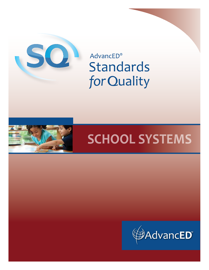

**AdvancED® Standards** for Quality



# **SCHOOL SYSTEMS**

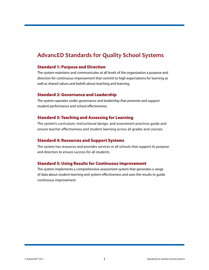### **AdvancED Standards for Quality School Systems**

#### Standard 1: Purpose and Direction

The system maintains and communicates at all levels of the organization a purpose and direction for continuous improvement that commit to high expectations for learning as well as shared values and beliefs about teaching and learning.

#### Standard 2: Governance and Leadership

The system operates under governance and leadership that promote and support student performance and school effectiveness.

#### Standard 3: Teaching and Assessing for Learning

The system's curriculum, instructional design, and assessment practices guide and ensure teacher effectiveness and student learning across all grades and courses.

#### Standard 4: Resources and Support Systems

The system has resources and provides services in all schools that support its purpose and direction to ensure success for all students.

#### Standard 5: Using Results for Continuous Improvement

The system implements a comprehensive assessment system that generates a range of data about student learning and system effectiveness and uses the results to guide continuous improvement.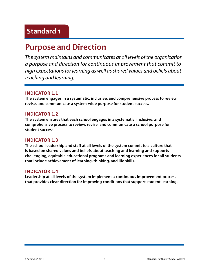### **Purpose and Direction**

*The system maintains and communicates at all levels of the organization a purpose and direction for continuous improvement that commit to high expectations for learning as well as shared values and beliefs about teaching and learning.* 

#### **Indicator 1.1**

**The system engages in a systematic, inclusive, and comprehensive process to review, revise, and communicate a system-wide purpose for student success.** 

#### **Indicator 1.2**

**The system ensures that each school engages in a systematic, inclusive, and comprehensive process to review, revise, and communicate a school purpose for student success.** 

#### **Indicator 1.3**

**The school leadership and staff at all levels of the system commit to a culture that is based on shared values and beliefs about teaching and learning and supports challenging, equitable educational programs and learning experiences for all students that include achievement of learning, thinking, and life skills.**

#### **Indicator 1.4**

**Leadership at all levels of the system implement a continuous improvement process that provides clear direction for improving conditions that support student learning.**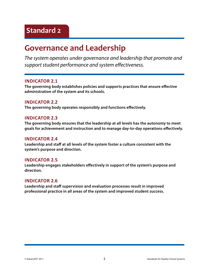### **Governance and Leadership**

*The system operates under governance and leadership that promote and support student performance and system effectiveness.*

#### **Indicator 2.1**

**The governing body establishes policies and supports practices that ensure effective administration of the system and its schools.**

#### **Indicator 2.2**

**The governing body operates responsibly and functions effectively.**

#### **Indicator 2.3**

**The governing body ensures that the leadership at all levels has the autonomy to meet goals for achievement and instruction and to manage day-to-day operations effectively.** 

#### **Indicator 2.4**

**Leadership and staff at all levels of the system foster a culture consistent with the system's purpose and direction.**

#### **Indicator 2.5**

**Leadership engages stakeholders effectively in support of the system's purpose and direction.**

#### **Indicator 2.6**

**Leadership and staff supervision and evaluation processes result in improved professional practice in all areas of the system and improved student success.**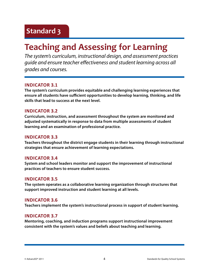## **Teaching and Assessing for Learning**

*The system's curriculum, instructional design, and assessment practices guide and ensure teacher effectiveness and student learning across all grades and courses.*

#### **Indicator 3.1**

**The system's curriculum provides equitable and challenging learning experiences that ensure all students have sufficient opportunities to develop learning, thinking, and life skills that lead to success at the next level.**

#### **Indicator 3.2**

**Curriculum, instruction, and assessment throughout the system are monitored and adjusted systematically in response to data from multiple assessments of student learning and an examination of professional practice.**

#### **Indicator 3.3**

**Teachers throughout the district engage students in their learning through instructional strategies that ensure achievement of learning expectations.**

#### **Indicator 3.4**

**System and school leaders monitor and support the improvement of instructional practices of teachers to ensure student success.**

#### **Indicator 3.5**

**The system operates as a collaborative learning organization through structures that support improved instruction and student learning at all levels.**

#### **Indicator 3.6**

**Teachers implement the system's instructional process in support of student learning.**

#### **Indicator 3.7**

**Mentoring, coaching, and induction programs support instructional improvement consistent with the system's values and beliefs about teaching and learning.**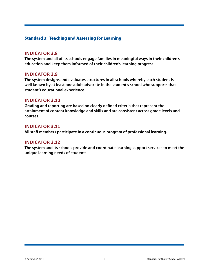#### Standard 3: Teaching and Assessing for Learning

#### **Indicator 3.8**

**The system and all of its schools engage families in meaningful ways in their children's education and keep them informed of their children's learning progress.**

#### **Indicator 3.9**

**The system designs and evaluates structures in all schools whereby each student is well known by at least one adult advocate in the student's school who supports that student's educational experience.**

#### **Indicator 3.10**

**Grading and reporting are based on clearly defined criteria that represent the attainment of content knowledge and skills and are consistent across grade levels and courses.**

#### **Indicator 3.11**

**All staff members participate in a continuous program of professional learning.**

#### **Indicator 3.12**

**The system and its schools provide and coordinate learning support services to meet the unique learning needs of students.**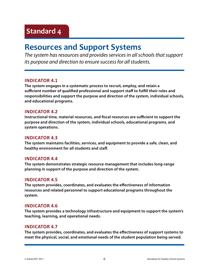### **Resources and Support Systems**

*The system has resources and provides services in all schools that support its purpose and direction to ensure success for all students.*

#### **Indicator 4.1**

**The system engages in a systematic process to recruit, employ, and retain a sufficient number of qualified professional and support staff to fulfill their roles and responsibilities and support the purpose and direction of the system, individual schools, and educational programs.**

#### **Indicator 4.2**

**Instructional time, material resources, and fiscal resources are sufficient to support the purpose and direction of the system, individual schools, educational programs, and system operations.**

#### **Indicator 4.3**

**The system maintains facilities, services, and equipment to provide a safe, clean, and healthy environment for all students and staff.**

#### **Indicator 4.4**

**The system demonstrates strategic resource management that includes long-range planning in support of the purpose and direction of the system.**

#### **Indicator 4.5**

**The system provides, coordinates, and evaluates the effectiveness of information resources and related personnel to support educational programs throughout the system.**

#### **Indicator 4.6**

**The system provides a technology infrastructure and equipment to support the system's teaching, learning, and operational needs.**

#### **Indicator 4.7**

**The system provides, coordinates, and evaluates the effectiveness of support systems to meet the physical, social, and emotional needs of the student population being served.**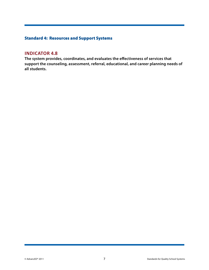#### Standard 4: Resources and Support Systems

#### **Indicator 4.8**

**The system provides, coordinates, and evaluates the effectiveness of services that support the counseling, assessment, referral, educational, and career planning needs of all students.**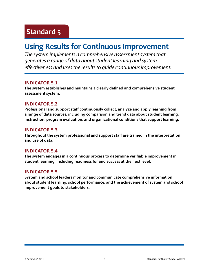### **Using Results for Continuous Improvement**

*The system implements a comprehensive assessment system that generates a range of data about student learning and system effectiveness and uses the results to guide continuous improvement.* 

#### **Indicator 5.1**

**The system establishes and maintains a clearly defined and comprehensive student assessment system.**

#### **Indicator 5.2**

**Professional and support staff continuously collect, analyze and apply learning from a range of data sources, including comparison and trend data about student learning, instruction, program evaluation, and organizational conditions that support learning.**

#### **Indicator 5.3**

**Throughout the system professional and support staff are trained in the interpretation and use of data.** 

#### **Indicator 5.4**

**The system engages in a continuous process to determine verifiable improvement in student learning, including readiness for and success at the next level.**

#### **Indicator 5.5**

**System and school leaders monitor and communicate comprehensive information about student learning, school performance, and the achievement of system and school improvement goals to stakeholders.**